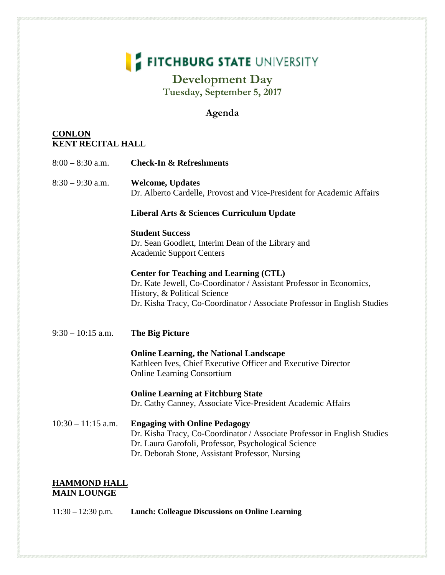# **FITCHBURG STATE UNIVERSITY**

### **Development Day Tuesday, September 5, 2017**

#### **Agenda**

#### **CONLON KENT RECITAL HALL**

| $8:00 - 8:30$ a.m.   | <b>Check-In &amp; Refreshments</b>                                                                                                                                                                                               |
|----------------------|----------------------------------------------------------------------------------------------------------------------------------------------------------------------------------------------------------------------------------|
| $8:30 - 9:30$ a.m.   | <b>Welcome, Updates</b><br>Dr. Alberto Cardelle, Provost and Vice-President for Academic Affairs                                                                                                                                 |
|                      | Liberal Arts & Sciences Curriculum Update                                                                                                                                                                                        |
|                      | <b>Student Success</b><br>Dr. Sean Goodlett, Interim Dean of the Library and<br><b>Academic Support Centers</b>                                                                                                                  |
|                      | <b>Center for Teaching and Learning (CTL)</b><br>Dr. Kate Jewell, Co-Coordinator / Assistant Professor in Economics,<br>History, & Political Science<br>Dr. Kisha Tracy, Co-Coordinator / Associate Professor in English Studies |
| $9:30 - 10:15$ a.m.  | <b>The Big Picture</b>                                                                                                                                                                                                           |
|                      | <b>Online Learning, the National Landscape</b><br>Kathleen Ives, Chief Executive Officer and Executive Director<br><b>Online Learning Consortium</b>                                                                             |
|                      | <b>Online Learning at Fitchburg State</b><br>Dr. Cathy Canney, Associate Vice-President Academic Affairs                                                                                                                         |
| $10:30 - 11:15$ a.m. | <b>Engaging with Online Pedagogy</b><br>Dr. Kisha Tracy, Co-Coordinator / Associate Professor in English Studies<br>Dr. Laura Garofoli, Professor, Psychological Science<br>Dr. Deborah Stone, Assistant Professor, Nursing      |
| <b>HAMMOND HALL</b>  |                                                                                                                                                                                                                                  |

## **MAIN LOUNGE**

11:30 – 12:30 p.m. **Lunch: Colleague Discussions on Online Learning**